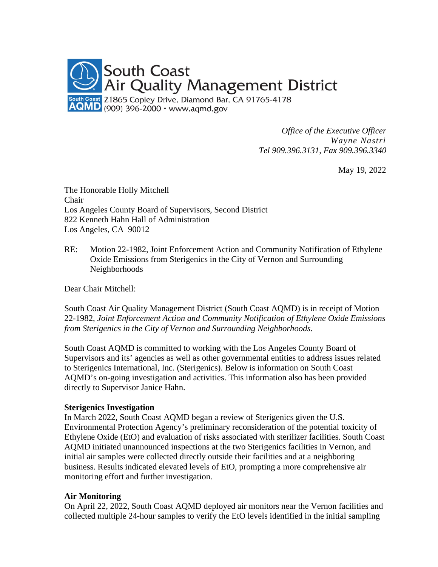

*Office of the Executive Officer Wayne Nastri Tel 909.396.3131, Fax 909.396.3340*

May 19, 2022

The Honorable Holly Mitchell Chair Los Angeles County Board of Supervisors, Second District 822 Kenneth Hahn Hall of Administration Los Angeles, CA 90012

RE: Motion 22-1982, Joint Enforcement Action and Community Notification of Ethylene Oxide Emissions from Sterigenics in the City of Vernon and Surrounding Neighborhoods

Dear Chair Mitchell:

South Coast Air Quality Management District (South Coast AQMD) is in receipt of Motion 22-1982, *Joint Enforcement Action and Community Notification of Ethylene Oxide Emissions from Sterigenics in the City of Vernon and Surrounding Neighborhoods*.

South Coast AQMD is committed to working with the Los Angeles County Board of Supervisors and its' agencies as well as other governmental entities to address issues related to Sterigenics International, Inc. (Sterigenics). Below is information on South Coast AQMD's on-going investigation and activities. This information also has been provided directly to Supervisor Janice Hahn.

#### **Sterigenics Investigation**

In March 2022, South Coast AQMD began a review of Sterigenics given the U.S. Environmental Protection Agency's preliminary reconsideration of the potential toxicity of Ethylene Oxide (EtO) and evaluation of risks associated with sterilizer facilities. South Coast AQMD initiated unannounced inspections at the two Sterigenics facilities in Vernon, and initial air samples were collected directly outside their facilities and at a neighboring business. Results indicated elevated levels of EtO, prompting a more comprehensive air monitoring effort and further investigation.

#### **Air Monitoring**

On April 22, 2022, South Coast AQMD deployed air monitors near the Vernon facilities and collected multiple 24-hour samples to verify the EtO levels identified in the initial sampling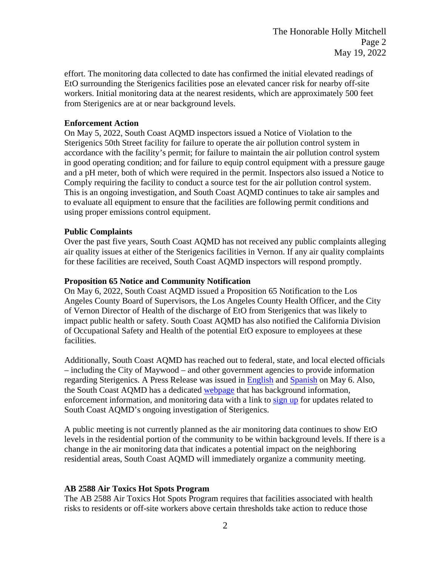effort. The monitoring data collected to date has confirmed the initial elevated readings of EtO surrounding the Sterigenics facilities pose an elevated cancer risk for nearby off-site workers. Initial monitoring data at the nearest residents, which are approximately 500 feet from Sterigenics are at or near background levels.

### **Enforcement Action**

On May 5, 2022, South Coast AQMD inspectors issued a Notice of Violation to the Sterigenics 50th Street facility for failure to operate the air pollution control system in accordance with the facility's permit; for failure to maintain the air pollution control system in good operating condition; and for failure to equip control equipment with a pressure gauge and a pH meter, both of which were required in the permit. Inspectors also issued a Notice to Comply requiring the facility to conduct a source test for the air pollution control system. This is an ongoing investigation, and South Coast AQMD continues to take air samples and to evaluate all equipment to ensure that the facilities are following permit conditions and using proper emissions control equipment.

# **Public Complaints**

Over the past five years, South Coast AQMD has not received any public complaints alleging air quality issues at either of the Sterigenics facilities in Vernon. If any air quality complaints for these facilities are received, South Coast AQMD inspectors will respond promptly.

# **Proposition 65 Notice and Community Notification**

On May 6, 2022, South Coast AQMD issued a Proposition 65 Notification to the Los Angeles County Board of Supervisors, the Los Angeles County Health Officer, and the City of Vernon Director of Health of the discharge of EtO from Sterigenics that was likely to impact public health or safety. South Coast AQMD has also notified the California Division of Occupational Safety and Health of the potential EtO exposure to employees at these facilities.

Additionally, South Coast AQMD has reached out to federal, state, and local elected officials – including the City of Maywood – and other government agencies to provide information regarding Sterigenics. A Press Release was issued in [English](http://www.aqmd.gov/docs/default-source/news-archive/2022/sterigenics-may6-2022.pdf?sfvrsn=9) and [Spanish](http://www.aqmd.gov/docs/default-source/news-archive/2022/spanish/sterigenics-sp-may6-2022.pdf?sfvrsn=15) on May 6. Also, the South Coast AQMD has a dedicated [webpage](http://www.aqmd.gov/sterigenics) that has background information, enforcement information, and monitoring data with a link to [sign](http://www.aqmd.gov/sign-up) up for updates related to South Coast AQMD's ongoing investigation of Sterigenics.

A public meeting is not currently planned as the air monitoring data continues to show EtO levels in the residential portion of the community to be within background levels. If there is a change in the air monitoring data that indicates a potential impact on the neighboring residential areas, South Coast AQMD will immediately organize a community meeting.

# **AB 2588 Air Toxics Hot Spots Program**

The AB 2588 Air Toxics Hot Spots Program requires that facilities associated with health risks to residents or off-site workers above certain thresholds take action to reduce those